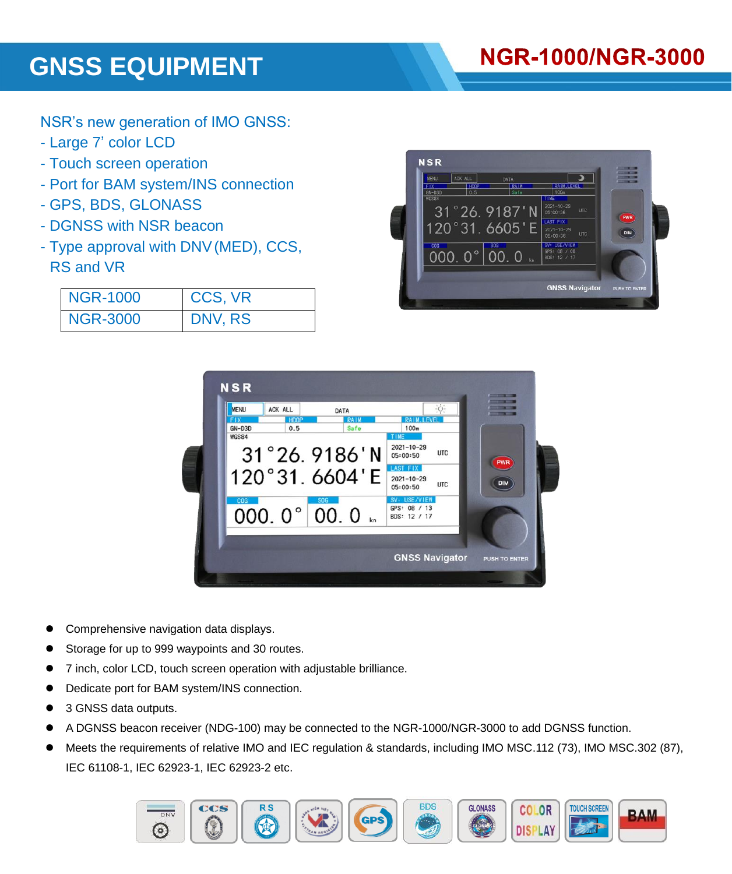# **GNSS EQUIPMENT**

# **NGR-1000/NGR-3000**

NSR's new generation of IMO GNSS:

- Large 7' color LCD
- Touch screen operation
- Port for BAM system/INS connection
- GPS, BDS, GLONASS
- DGNSS with NSR beacon
- Type approval with DNV(MED), CCS, RS and VR

| <b>NGR-1000</b> | CCS, VR        |
|-----------------|----------------|
| <b>NGR-3000</b> | <b>DNV, RS</b> |





- Comprehensive navigation data displays.
- Storage for up to 999 waypoints and 30 routes.
- 7 inch, color LCD, touch screen operation with adjustable brilliance.
- Dedicate port for BAM system/INS connection.
- 3 GNSS data outputs.
- A DGNSS beacon receiver (NDG-100) may be connected to the NGR-1000/NGR-3000 to add DGNSS function.
- Meets the requirements of relative IMO and IEC regulation & standards, including IMO MSC.112 (73), IMO MSC.302 (87), IEC 61108-1, IEC 62923-1, IEC 62923-2 etc.